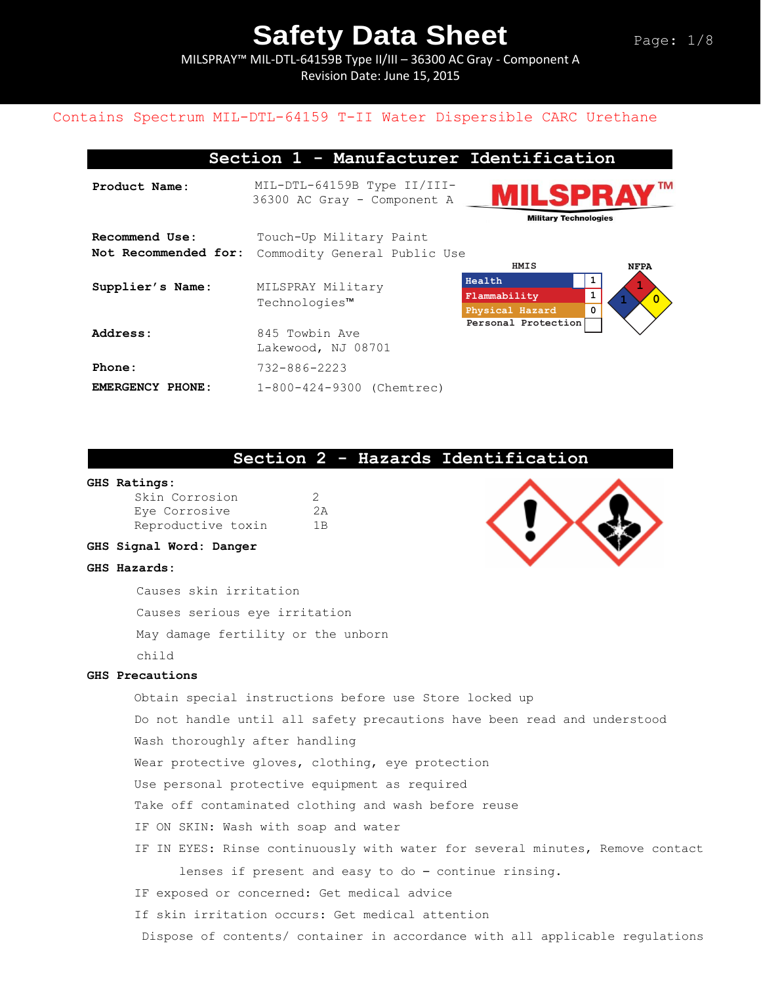MILSPRAY™ MIL-DTL-64159B Type II/III – 36300 AC Gray - Component A Revision Date: June 15, 2015

### Contains Spectrum MIL-DTL-64159 T-II Water Dispersible CARC Urethane

#### **Section 1 - Manufacturer Identification**

**Product Name:** MIL-DTL-64159B Type II/III-36300 AC Gray - Component A **Military Technologies Recommend Use:** Touch-Up Military Paint Not Recommended for: Commodity General Public Use **HMIS NFPA Health 1 1 Supplier's Name:** MILSPRAY Military **Flammability 1 1 0** Technologies™ **Physical Hazard 0 Personal Protection** Address: 845 Towbin Ave Lakewood, NJ 08701 **Phone:** 732-886-2223 **EMERGENCY PHONE:** 1-800-424-9300 (Chemtrec)

#### **Section 2 - Hazards Identification**

#### **GHS Ratings:**

| Skin Corrosion     | -2             |
|--------------------|----------------|
| Eye Corrosive      | 2A             |
| Reproductive toxin | 1 <sub>B</sub> |

#### **GHS Signal Word: Danger**

#### **GHS Hazards:**

Causes skin irritation Causes serious eye irritation May damage fertility or the unborn child

#### **GHS Precautions**

Obtain special instructions before use Store locked up Do not handle until all safety precautions have been read and understood Wash thoroughly after handling Wear protective gloves, clothing, eye protection Use personal protective equipment as required Take off contaminated clothing and wash before reuse IF ON SKIN: Wash with soap and water IF IN EYES: Rinse continuously with water for several minutes, Remove contact lenses if present and easy to do – continue rinsing. IF exposed or concerned: Get medical advice If skin irritation occurs: Get medical attention Dispose of contents/ container in accordance with all applicable regulations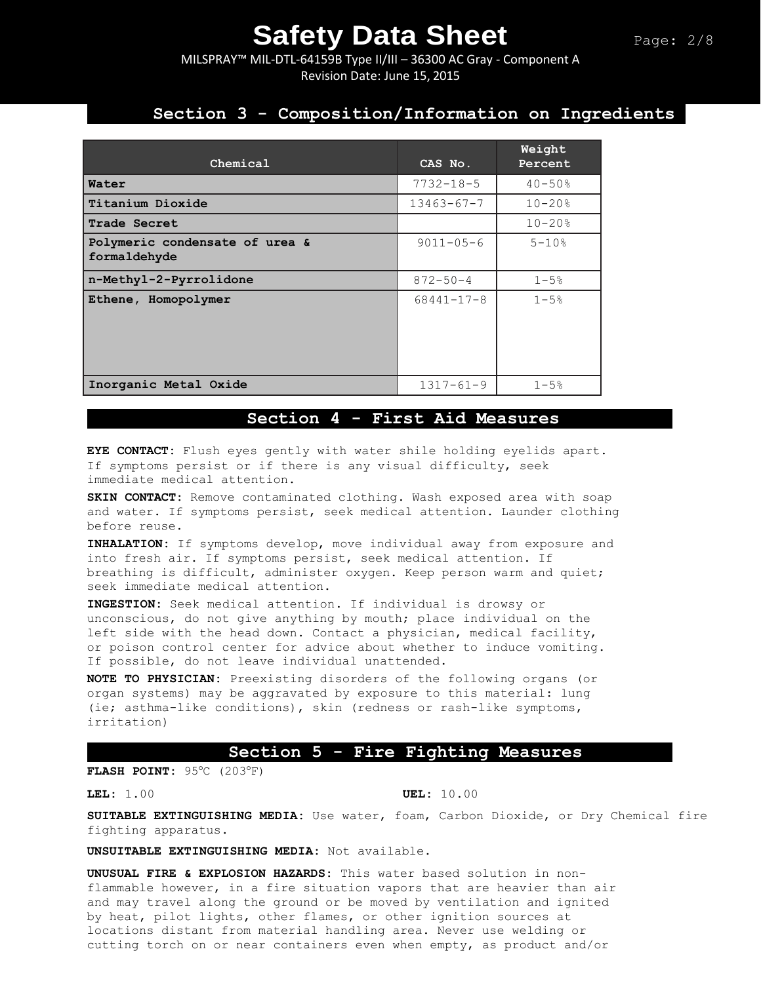MILSPRAY™ MIL-DTL-64159B Type II/III – 36300 AC Gray - Component A Revision Date: June 15, 2015

## **Section 3 - Composition/Information on Ingredients**

| Chemical                                       | CAS No.          | Weight<br>Percent |
|------------------------------------------------|------------------|-------------------|
| Water                                          | $7732 - 18 - 5$  | $40 - 50$ %       |
| Titanium Dioxide                               | $13463 - 67 - 7$ | $10 - 20$ %       |
| Trade Secret                                   |                  | $10 - 20$ %       |
| Polymeric condensate of urea &<br>formaldehyde | $9011 - 05 - 6$  | $5 - 10$ %        |
| n-Methyl-2-Pyrrolidone                         | $872 - 50 - 4$   | $1 - 5%$          |
| Ethene, Homopolymer                            | $68441 - 17 - 8$ | $1 - 5%$          |
| Inorganic Metal Oxide                          | $1317 - 61 - 9$  | $1 - 5%$          |

### **Section 4 - First Aid Measures**

**EYE CONTACT:** Flush eyes gently with water shile holding eyelids apart. If symptoms persist or if there is any visual difficulty, seek immediate medical attention.

**SKIN CONTACT:** Remove contaminated clothing. Wash exposed area with soap and water. If symptoms persist, seek medical attention. Launder clothing before reuse.

**INHALATION:** If symptoms develop, move individual away from exposure and into fresh air. If symptoms persist, seek medical attention. If breathing is difficult, administer oxygen. Keep person warm and quiet; seek immediate medical attention.

**INGESTION:** Seek medical attention. If individual is drowsy or unconscious, do not give anything by mouth; place individual on the left side with the head down. Contact a physician, medical facility, or poison control center for advice about whether to induce vomiting. If possible, do not leave individual unattended.

**NOTE TO PHYSICIAN:** Preexisting disorders of the following organs (or organ systems) may be aggravated by exposure to this material: lung (ie; asthma-like conditions), skin (redness or rash-like symptoms, irritation)

#### **Section 5 - Fire Fighting Measures**

**FLASH POINT: 95°C (203°F)** 

**LEL:** 1.00 **UEL:** 10.00

**SUITABLE EXTINGUISHING MEDIA:** Use water, foam, Carbon Dioxide, or Dry Chemical fire fighting apparatus.

**UNSUITABLE EXTINGUISHING MEDIA:** Not available.

**UNUSUAL FIRE & EXPLOSION HAZARDS:** This water based solution in nonflammable however, in a fire situation vapors that are heavier than air and may travel along the ground or be moved by ventilation and ignited by heat, pilot lights, other flames, or other ignition sources at locations distant from material handling area. Never use welding or cutting torch on or near containers even when empty, as product and/or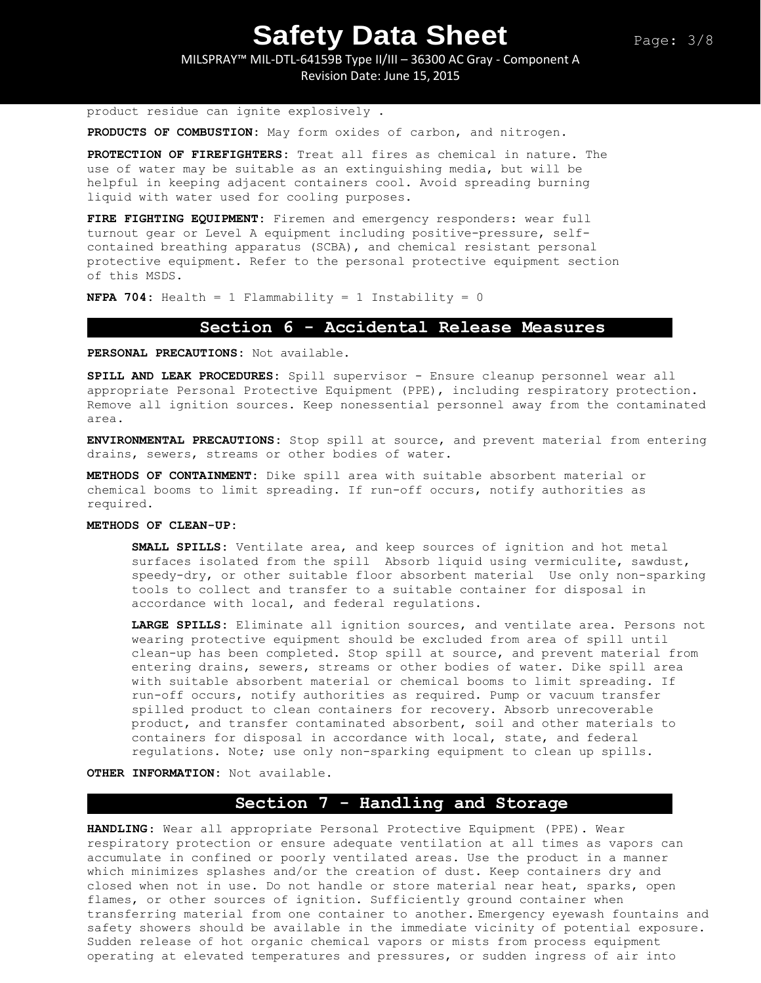MILSPRAY™ MIL-DTL-64159B Type II/III – 36300 AC Gray - Component A Revision Date: June 15, 2015

product residue can ignite explosively .

**PRODUCTS OF COMBUSTION:** May form oxides of carbon, and nitrogen.

**PROTECTION OF FIREFIGHTERS:** Treat all fires as chemical in nature. The use of water may be suitable as an extinguishing media, but will be helpful in keeping adjacent containers cool. Avoid spreading burning liquid with water used for cooling purposes.

**FIRE FIGHTING EQUIPMENT:** Firemen and emergency responders: wear full turnout gear or Level A equipment including positive-pressure, selfcontained breathing apparatus (SCBA), and chemical resistant personal protective equipment. Refer to the personal protective equipment section of this MSDS.

**NFPA 704:** Health = 1 Flammability = 1 Instability = 0

#### **Section 6 - Accidental Release Measures**

**PERSONAL PRECAUTIONS:** Not available.

**SPILL AND LEAK PROCEDURES:** Spill supervisor - Ensure cleanup personnel wear all appropriate Personal Protective Equipment (PPE), including respiratory protection. Remove all ignition sources. Keep nonessential personnel away from the contaminated area.

**ENVIRONMENTAL PRECAUTIONS:** Stop spill at source, and prevent material from entering drains, sewers, streams or other bodies of water.

**METHODS OF CONTAINMENT:** Dike spill area with suitable absorbent material or chemical booms to limit spreading. If run-off occurs, notify authorities as required.

#### **METHODS OF CLEAN-UP:**

**SMALL SPILLS:** Ventilate area, and keep sources of ignition and hot metal surfaces isolated from the spill Absorb liquid using vermiculite, sawdust, speedy-dry, or other suitable floor absorbent material Use only non-sparking tools to collect and transfer to a suitable container for disposal in accordance with local, and federal regulations.

**LARGE SPILLS:** Eliminate all ignition sources, and ventilate area. Persons not wearing protective equipment should be excluded from area of spill until clean-up has been completed. Stop spill at source, and prevent material from entering drains, sewers, streams or other bodies of water. Dike spill area with suitable absorbent material or chemical booms to limit spreading. If run-off occurs, notify authorities as required. Pump or vacuum transfer spilled product to clean containers for recovery. Absorb unrecoverable product, and transfer contaminated absorbent, soil and other materials to containers for disposal in accordance with local, state, and federal regulations. Note; use only non-sparking equipment to clean up spills.

**OTHER INFORMATION:** Not available.

### **Section 7 - Handling and Storage**

**HANDLING**: Wear all appropriate Personal Protective Equipment (PPE). Wear respiratory protection or ensure adequate ventilation at all times as vapors can accumulate in confined or poorly ventilated areas. Use the product in a manner which minimizes splashes and/or the creation of dust. Keep containers dry and closed when not in use. Do not handle or store material near heat, sparks, open flames, or other sources of ignition. Sufficiently ground container when transferring material from one container to another. Emergency eyewash fountains and safety showers should be available in the immediate vicinity of potential exposure. Sudden release of hot organic chemical vapors or mists from process equipment operating at elevated temperatures and pressures, or sudden ingress of air into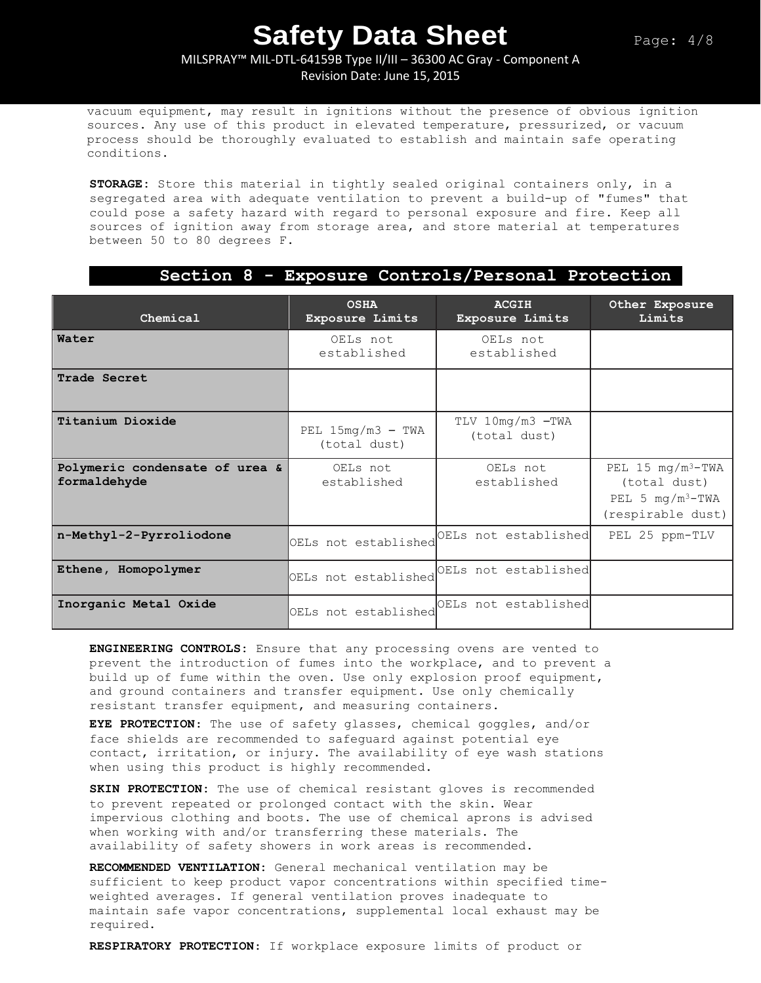#### MILSPRAY™ MIL-DTL-64159B Type II/III – 36300 AC Gray - Component A Revision Date: June 15, 2015

vacuum equipment, may result in ignitions without the presence of obvious ignition sources. Any use of this product in elevated temperature, pressurized, or vacuum process should be thoroughly evaluated to establish and maintain safe operating conditions.

**STORAGE:** Store this material in tightly sealed original containers only, in a segregated area with adequate ventilation to prevent a build-up of "fumes" that could pose a safety hazard with regard to personal exposure and fire. Keep all sources of ignition away from storage area, and store material at temperatures between 50 to 80 degrees F.

### **Section 8 - Exposure Controls/Personal Protection**

| Chemical                                       | <b>OSHA</b><br>Exposure Limits      | <b>ACGIH</b><br>Exposure Limits  | Other Exposure<br>Limits                                                          |
|------------------------------------------------|-------------------------------------|----------------------------------|-----------------------------------------------------------------------------------|
| Water                                          | OELs not<br>established             | OELs not<br>established          |                                                                                   |
| Trade Secret                                   |                                     |                                  |                                                                                   |
| Titanium Dioxide                               | PEL $15mg/m3$ - TWA<br>(total dust) | TLV 10mg/m3 -TWA<br>(total dust) |                                                                                   |
| Polymeric condensate of urea &<br>formaldehyde | OELs not<br>established             | OELs not<br>established          | PEL 15 $mg/m^3$ -TWA<br>(total dust)<br>PEL 5 $mg/m^3 - TWA$<br>(respirable dust) |
| n-Methyl-2-Pyrroliodone                        | OELs not established                | OELs not established             | PEL 25 ppm-TLV                                                                    |
| Ethene, Homopolymer                            | OELs not established                | OELs not established             |                                                                                   |
| Inorganic Metal Oxide                          | OELs not established                | OELs not established             |                                                                                   |

**ENGINEERING CONTROLS:** Ensure that any processing ovens are vented to prevent the introduction of fumes into the workplace, and to prevent a build up of fume within the oven. Use only explosion proof equipment, and ground containers and transfer equipment. Use only chemically resistant transfer equipment, and measuring containers.

**EYE PROTECTION**: The use of safety glasses, chemical goggles, and/or face shields are recommended to safeguard against potential eye contact, irritation, or injury. The availability of eye wash stations when using this product is highly recommended.

**SKIN PROTECTION:** The use of chemical resistant gloves is recommended to prevent repeated or prolonged contact with the skin. Wear impervious clothing and boots. The use of chemical aprons is advised when working with and/or transferring these materials. The availability of safety showers in work areas is recommended**.** 

**RECOMMENDED VENTILATION:** General mechanical ventilation may be sufficient to keep product vapor concentrations within specified timeweighted averages. If general ventilation proves inadequate to maintain safe vapor concentrations, supplemental local exhaust may be required.

**RESPIRATORY PROTECTION**: If workplace exposure limits of product or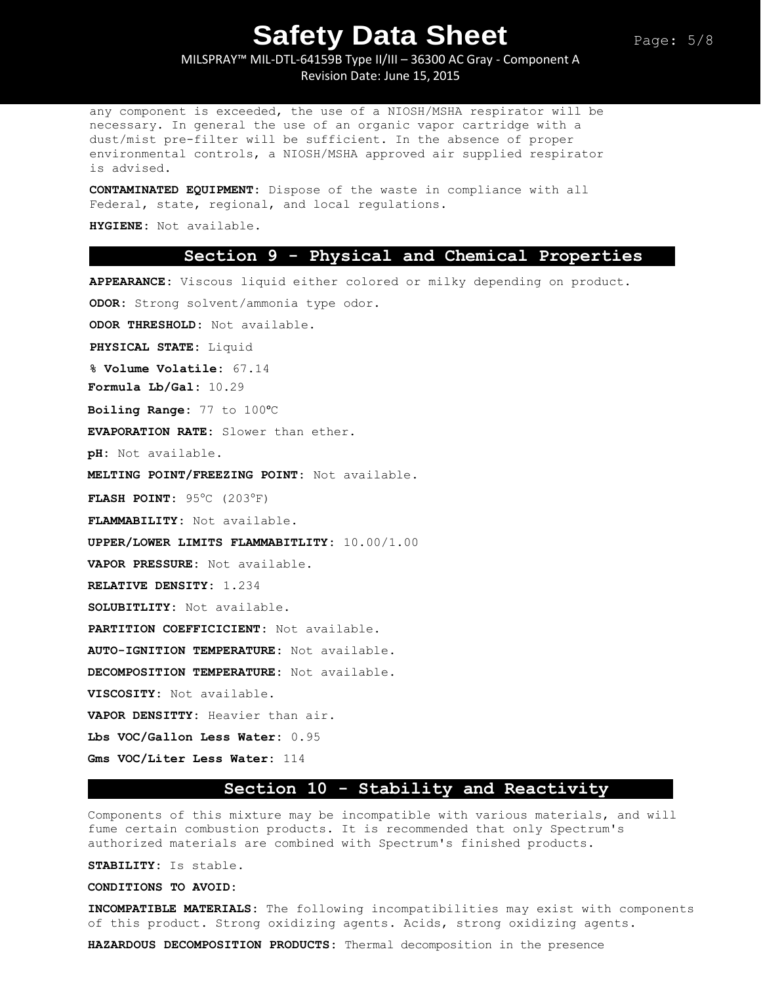MILSPRAY™ MIL-DTL-64159B Type II/III – 36300 AC Gray - Component A Revision Date: June 15, 2015

any component is exceeded, the use of a NIOSH/MSHA respirator will be necessary. In general the use of an organic vapor cartridge with a dust/mist pre-filter will be sufficient. In the absence of proper environmental controls, a NIOSH/MSHA approved air supplied respirator is advised.

**CONTAMINATED EQUIPMENT:** Dispose of the waste in compliance with all Federal, state, regional, and local regulations.

**HYGIENE:** Not available.

#### **Section 9 - Physical and Chemical Properties**

**APPEARANCE:** Viscous liquid either colored or milky depending on product. **ODOR:** Strong solvent/ammonia type odor.

**ODOR THRESHOLD:** Not available.

**PHYSICAL STATE:** Liquid

**% Volume Volatile:** 67.14

**Formula Lb/Gal:** 10.29

**Boiling Range:** 77 to 100ᵒC

**EVAPORATION RATE:** Slower than ether.

**pH:** Not available.

**MELTING POINT/FREEZING POINT:** Not available.

**FLASH POINT:** 95°C (203°F)

**FLAMMABILITY:** Not available.

**UPPER/LOWER LIMITS FLAMMABITLITY:** 10.00/1.00

**VAPOR PRESSURE:** Not available.

**RELATIVE DENSITY:** 1.234

**SOLUBITLITY:** Not available.

**PARTITION COEFFICICIENT:** Not available.

**AUTO-IGNITION TEMPERATURE:** Not available.

**DECOMPOSITION TEMPERATURE:** Not available.

**VISCOSITY:** Not available.

**VAPOR DENSITTY:** Heavier than air.

**Lbs VOC/Gallon Less Water:** 0.95

**Gms VOC/Liter Less Water:** 114

### **Section 10 - Stability and Reactivity**

Components of this mixture may be incompatible with various materials, and will fume certain combustion products. It is recommended that only Spectrum's authorized materials are combined with Spectrum's finished products.

**STABILITY:** Is stable.

**CONDITIONS TO AVOID:**

**INCOMPATIBLE MATERIALS:** The following incompatibilities may exist with components of this product. Strong oxidizing agents. Acids, strong oxidizing agents.

**HAZARDOUS DECOMPOSITION PRODUCTS:** Thermal decomposition in the presence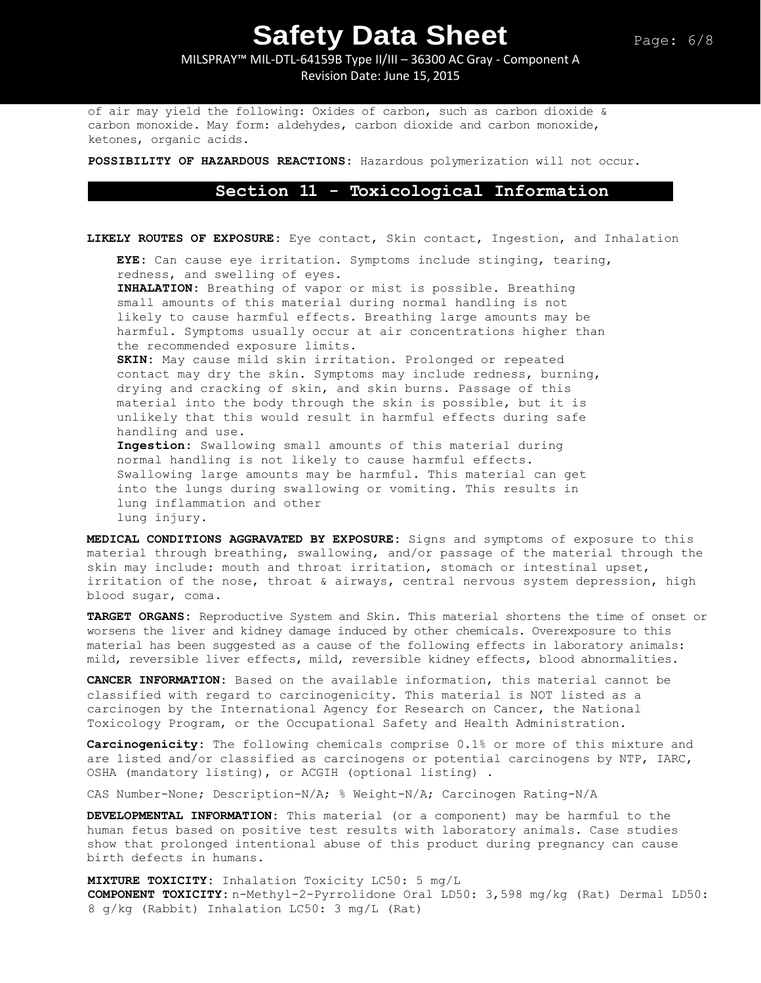MILSPRAY™ MIL-DTL-64159B Type II/III – 36300 AC Gray - Component A Revision Date: June 15, 2015

of air may yield the following: Oxides of carbon, such as carbon dioxide & carbon monoxide. May form: aldehydes, carbon dioxide and carbon monoxide, ketones, organic acids.

**POSSIBILITY OF HAZARDOUS REACTIONS:** Hazardous polymerization will not occur.

### **Section 11 - Toxicological Information**

**LIKELY ROUTES OF EXPOSURE:** Eye contact, Skin contact, Ingestion, and Inhalation

**EYE:** Can cause eye irritation. Symptoms include stinging, tearing, redness, and swelling of eyes.

**INHALATION:** Breathing of vapor or mist is possible. Breathing small amounts of this material during normal handling is not likely to cause harmful effects. Breathing large amounts may be harmful. Symptoms usually occur at air concentrations higher than the recommended exposure limits.

**SKIN:** May cause mild skin irritation. Prolonged or repeated contact may dry the skin. Symptoms may include redness, burning, drying and cracking of skin, and skin burns. Passage of this material into the body through the skin is possible, but it is unlikely that this would result in harmful effects during safe handling and use.

**Ingestion:** Swallowing small amounts of this material during normal handling is not likely to cause harmful effects. Swallowing large amounts may be harmful. This material can get into the lungs during swallowing or vomiting. This results in lung inflammation and other lung injury.

**MEDICAL CONDITIONS AGGRAVATED BY EXPOSURE:** Signs and symptoms of exposure to this material through breathing, swallowing, and/or passage of the material through the skin may include: mouth and throat irritation, stomach or intestinal upset, irritation of the nose, throat & airways, central nervous system depression, high blood sugar, coma.

**TARGET ORGANS:** Reproductive System and Skin. This material shortens the time of onset or worsens the liver and kidney damage induced by other chemicals. Overexposure to this material has been suggested as a cause of the following effects in laboratory animals: mild, reversible liver effects, mild, reversible kidney effects, blood abnormalities.

**CANCER INFORMATION:** Based on the available information, this material cannot be classified with regard to carcinogenicity. This material is NOT listed as a carcinogen by the International Agency for Research on Cancer, the National Toxicology Program, or the Occupational Safety and Health Administration.

**Carcinogenicity:** The following chemicals comprise 0.1% or more of this mixture and are listed and/or classified as carcinogens or potential carcinogens by NTP, IARC, OSHA (mandatory listing), or ACGIH (optional listing) .

CAS Number-None; Description-N/A; % Weight-N/A; Carcinogen Rating-N/A

**DEVELOPMENTAL INFORMATION:** This material (or a component) may be harmful to the human fetus based on positive test results with laboratory animals. Case studies show that prolonged intentional abuse of this product during pregnancy can cause birth defects in humans.

**MIXTURE TOXICITY:** Inhalation Toxicity LC50: 5 mg/L **COMPONENT TOXICITY:** n-Methyl-2-Pyrrolidone Oral LD50: 3,598 mg/kg (Rat) Dermal LD50: 8 g/kg (Rabbit) Inhalation LC50: 3 mg/L (Rat)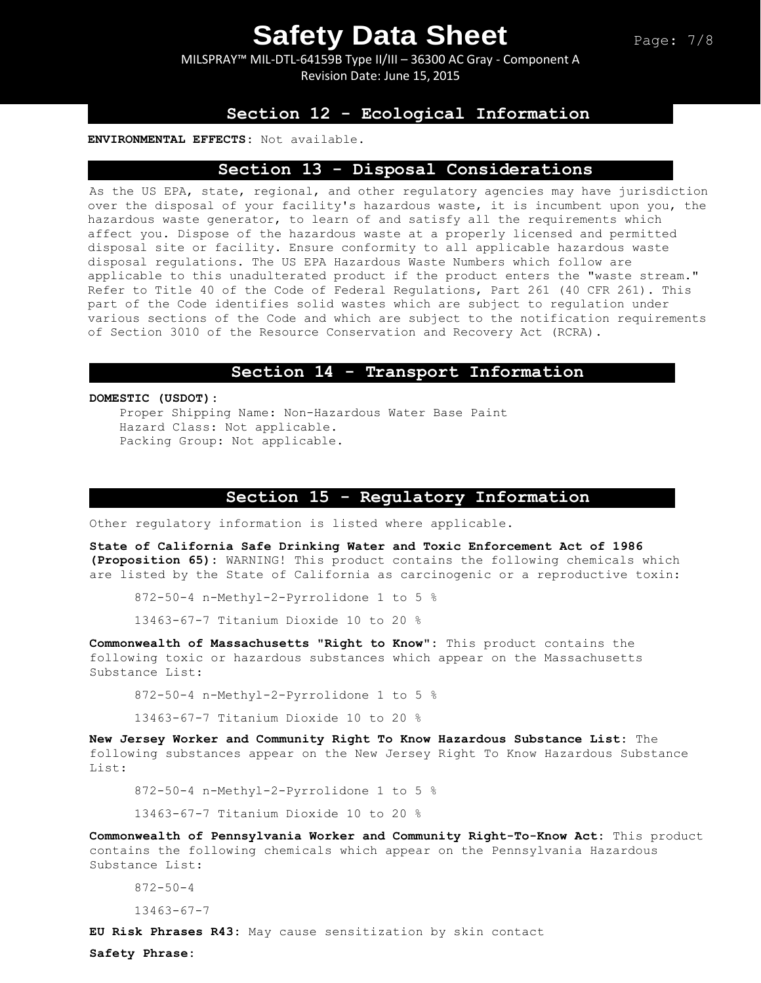MILSPRAY™ MIL-DTL-64159B Type II/III – 36300 AC Gray - Component A Revision Date: June 15, 2015

### **Section 12 - Ecological Information**

#### **ENVIRONMENTAL EFFECTS:** Not available.

#### **Section 13 - Disposal Considerations**

As the US EPA, state, regional, and other regulatory agencies may have jurisdiction over the disposal of your facility's hazardous waste, it is incumbent upon you, the hazardous waste generator, to learn of and satisfy all the requirements which affect you. Dispose of the hazardous waste at a properly licensed and permitted disposal site or facility. Ensure conformity to all applicable hazardous waste disposal regulations. The US EPA Hazardous Waste Numbers which follow are applicable to this unadulterated product if the product enters the "waste stream." Refer to Title 40 of the Code of Federal Regulations, Part 261 (40 CFR 261). This part of the Code identifies solid wastes which are subject to regulation under various sections of the Code and which are subject to the notification requirements of Section 3010 of the Resource Conservation and Recovery Act (RCRA).

#### **Section 14 - Transport Information**

**DOMESTIC (USDOT):**

Proper Shipping Name: Non-Hazardous Water Base Paint Hazard Class: Not applicable. Packing Group: Not applicable.

#### **Section 15 - Regulatory Information**

Other regulatory information is listed where applicable.

**State of California Safe Drinking Water and Toxic Enforcement Act of 1986 (Proposition 65):** WARNING! This product contains the following chemicals which are listed by the State of California as carcinogenic or a reproductive toxin:

872-50-4 n-Methyl-2-Pyrrolidone 1 to 5 %

13463-67-7 Titanium Dioxide 10 to 20 %

**Commonwealth of Massachusetts "Right to Know":** This product contains the following toxic or hazardous substances which appear on the Massachusetts Substance List:

872-50-4 n-Methyl-2-Pyrrolidone 1 to 5 %

13463-67-7 Titanium Dioxide 10 to 20 %

**New Jersey Worker and Community Right To Know Hazardous Substance List:** The following substances appear on the New Jersey Right To Know Hazardous Substance List:

872-50-4 n-Methyl-2-Pyrrolidone 1 to 5 %

13463-67-7 Titanium Dioxide 10 to 20 %

**Commonwealth of Pennsylvania Worker and Community Right-To-Know Act:** This product contains the following chemicals which appear on the Pennsylvania Hazardous Substance List:

872-50-4

13463-67-7

**EU Risk Phrases R43:** May cause sensitization by skin contact

**Safety Phrase:**